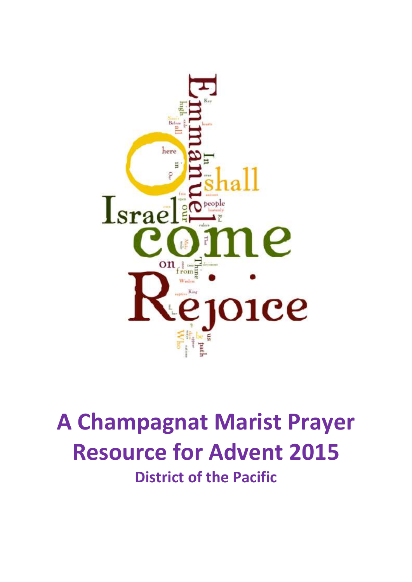

# **A Champagnat Marist Prayer Resource for Advent 2015 District of the Pacific**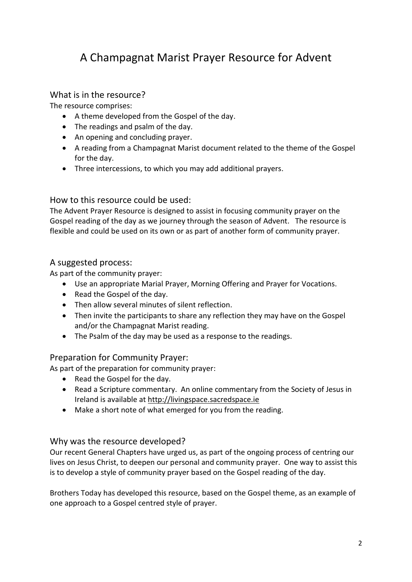# A Champagnat Marist Prayer Resource for Advent

### What is in the resource?

The resource comprises:

- A theme developed from the Gospel of the day.
- The readings and psalm of the day.
- An opening and concluding prayer.
- A reading from a Champagnat Marist document related to the theme of the Gospel for the day.
- Three intercessions, to which you may add additional prayers.

### How to this resource could be used:

The Advent Prayer Resource is designed to assist in focusing community prayer on the Gospel reading of the day as we journey through the season of Advent. The resource is flexible and could be used on its own or as part of another form of community prayer.

### A suggested process:

As part of the community prayer:

- Use an appropriate Marial Prayer, Morning Offering and Prayer for Vocations.
- Read the Gospel of the day.
- Then allow several minutes of silent reflection.
- Then invite the participants to share any reflection they may have on the Gospel and/or the Champagnat Marist reading.
- The Psalm of the day may be used as a response to the readings.

### Preparation for Community Prayer:

As part of the preparation for community prayer:

- Read the Gospel for the day.
- Read a Scripture commentary. An online commentary from the Society of Jesus in Ireland is available at [http://livingspace.sacredspace.ie](http://livingspace.sacredspace.ie/)
- Make a short note of what emerged for you from the reading.

### Why was the resource developed?

Our recent General Chapters have urged us, as part of the ongoing process of centring our lives on Jesus Christ, to deepen our personal and community prayer. One way to assist this is to develop a style of community prayer based on the Gospel reading of the day.

Brothers Today has developed this resource, based on the Gospel theme, as an example of one approach to a Gospel centred style of prayer.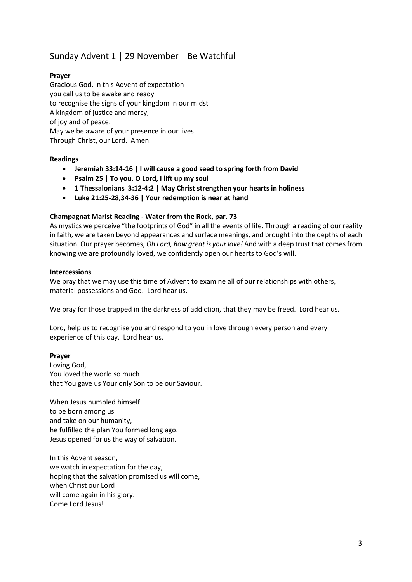# Sunday Advent 1 | 29 November | Be Watchful

### **Prayer**

Gracious God, in this Advent of expectation you call us to be awake and ready to recognise the signs of your kingdom in our midst A kingdom of justice and mercy, of joy and of peace. May we be aware of your presence in our lives. Through Christ, our Lord. Amen.

### **Readings**

- **Jeremiah 33:14-16 | I will cause a good seed to spring forth from David**
- **Psalm 25 | To you. O Lord, I lift up my soul**
- **1 Thessalonians 3:12-4:2 | May Christ strengthen your hearts in holiness**
- **Luke 21:25-28,34-36 | Your redemption is near at hand**

### **Champagnat Marist Reading - Water from the Rock, par. 73**

As mystics we perceive "the footprints of God" in all the events of life. Through a reading of our reality in faith, we are taken beyond appearances and surface meanings, and brought into the depths of each situation. Our prayer becomes, *Oh Lord, how great is your love!* And with a deep trust that comes from knowing we are profoundly loved, we confidently open our hearts to God's will.

### **Intercessions**

We pray that we may use this time of Advent to examine all of our relationships with others, material possessions and God. Lord hear us.

We pray for those trapped in the darkness of addiction, that they may be freed. Lord hear us.

Lord, help us to recognise you and respond to you in love through every person and every experience of this day. Lord hear us.

### **Prayer**

Loving God, You loved the world so much that You gave us Your only Son to be our Saviour.

When Jesus humbled himself to be born among us and take on our humanity, he fulfilled the plan You formed long ago. Jesus opened for us the way of salvation.

In this Advent season, we watch in expectation for the day, hoping that the salvation promised us will come, when Christ our Lord will come again in his glory. Come Lord Jesus!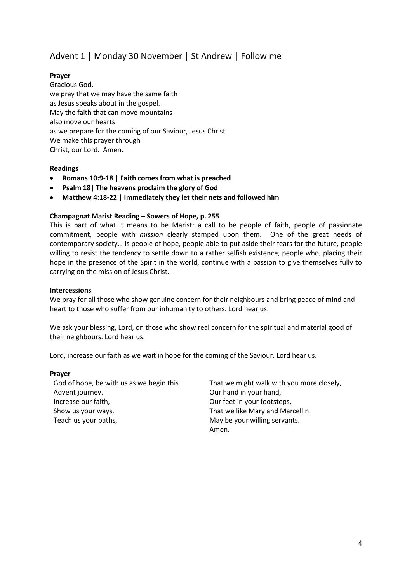## Advent 1 | Monday 30 November | St Andrew | Follow me

### **Prayer**

Gracious God, we pray that we may have the same faith as Jesus speaks about in the gospel. May the faith that can move mountains also move our hearts as we prepare for the coming of our Saviour, Jesus Christ. We make this prayer through Christ, our Lord. Amen.

### **Readings**

- **Romans 10:9-18 | Faith comes from what is preached**
- **Psalm 18| The heavens proclaim the glory of God**
- **Matthew 4:18-22 | Immediately they let their nets and followed him**

### **Champagnat Marist Reading – Sowers of Hope, p. 255**

This is part of what it means to be Marist: a call to be people of faith, people of passionate commitment, people with *mission* clearly stamped upon them. One of the great needs of contemporary society… is people of hope, people able to put aside their fears for the future, people willing to resist the tendency to settle down to a rather selfish existence, people who, placing their hope in the presence of the Spirit in the world, continue with a passion to give themselves fully to carrying on the mission of Jesus Christ.

### **Intercessions**

We pray for all those who show genuine concern for their neighbours and bring peace of mind and heart to those who suffer from our inhumanity to others. Lord hear us.

We ask your blessing, Lord, on those who show real concern for the spiritual and material good of their neighbours. Lord hear us.

Lord, increase our faith as we wait in hope for the coming of the Saviour. Lord hear us.

#### **Prayer**

God of hope, be with us as we begin this Advent journey. Increase our faith, Show us your ways, Teach us your paths,

That we might walk with you more closely, Our hand in your hand, Our feet in your footsteps, That we like Mary and Marcellin May be your willing servants. Amen.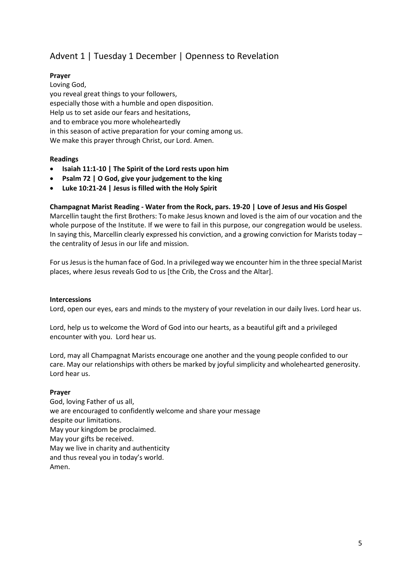# Advent 1 | Tuesday 1 December | Openness to Revelation

### **Prayer**

Loving God, you reveal great things to your followers, especially those with a humble and open disposition. Help us to set aside our fears and hesitations, and to embrace you more wholeheartedly in this season of active preparation for your coming among us. We make this prayer through Christ, our Lord. Amen.

### **Readings**

- **Isaiah 11:1-10 | The Spirit of the Lord rests upon him**
- **Psalm 72 | O God, give your judgement to the king**
- **Luke 10:21-24 | Jesus is filled with the Holy Spirit**

**Champagnat Marist Reading - Water from the Rock, pars. 19-20 | Love of Jesus and His Gospel** Marcellin taught the first Brothers: To make Jesus known and loved is the aim of our vocation and the whole purpose of the Institute. If we were to fail in this purpose, our congregation would be useless. In saying this, Marcellin clearly expressed his conviction, and a growing conviction for Marists today –

the centrality of Jesus in our life and mission.

For us Jesus is the human face of God. In a privileged way we encounter him in the three special Marist places, where Jesus reveals God to us [the Crib, the Cross and the Altar].

#### **Intercessions**

Lord, open our eyes, ears and minds to the mystery of your revelation in our daily lives. Lord hear us.

Lord, help us to welcome the Word of God into our hearts, as a beautiful gift and a privileged encounter with you. Lord hear us.

Lord, may all Champagnat Marists encourage one another and the young people confided to our care. May our relationships with others be marked by joyful simplicity and wholehearted generosity. Lord hear us.

### **Prayer**

God, loving Father of us all, we are encouraged to confidently welcome and share your message despite our limitations. May your kingdom be proclaimed. May your gifts be received. May we live in charity and authenticity and thus reveal you in today's world. Amen.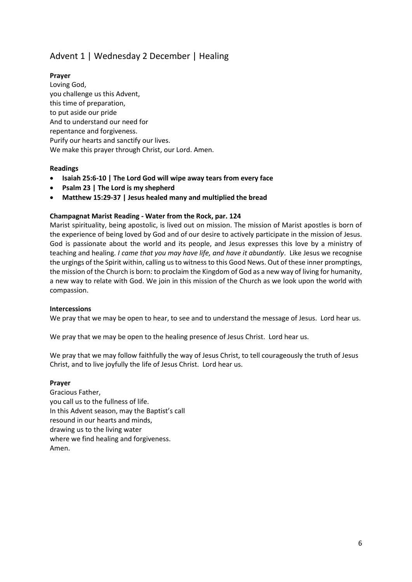## Advent 1 | Wednesday 2 December | Healing

### **Prayer**

Loving God, you challenge us this Advent, this time of preparation, to put aside our pride And to understand our need for repentance and forgiveness. Purify our hearts and sanctify our lives. We make this prayer through Christ, our Lord. Amen.

### **Readings**

- **Isaiah 25:6-10 | The Lord God will wipe away tears from every face**
- **Psalm 23 | The Lord is my shepherd**
- **Matthew 15:29-37 | Jesus healed many and multiplied the bread**

### **Champagnat Marist Reading - Water from the Rock, par. 124**

Marist spirituality, being apostolic, is lived out on mission. The mission of Marist apostles is born of the experience of being loved by God and of our desire to actively participate in the mission of Jesus. God is passionate about the world and its people, and Jesus expresses this love by a ministry of teaching and healing. *I came that you may have life, and have it abundantly*. Like Jesus we recognise the urgings of the Spirit within, calling us to witness to this Good News. Out of these inner promptings, the mission of the Church is born: to proclaim the Kingdom of God as a new way of living for humanity, a new way to relate with God. We join in this mission of the Church as we look upon the world with compassion.

### **Intercessions**

We pray that we may be open to hear, to see and to understand the message of Jesus. Lord hear us.

We pray that we may be open to the healing presence of Jesus Christ. Lord hear us.

We pray that we may follow faithfully the way of Jesus Christ, to tell courageously the truth of Jesus Christ, and to live joyfully the life of Jesus Christ. Lord hear us.

### **Prayer**

Gracious Father, you call us to the fullness of life. In this Advent season, may the Baptist's call resound in our hearts and minds, drawing us to the living water where we find healing and forgiveness. Amen.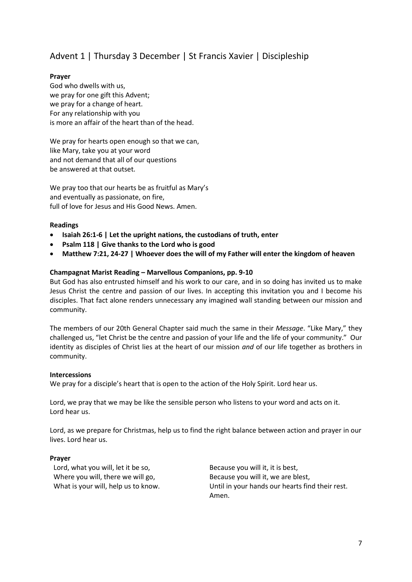# Advent 1 | Thursday 3 December | St Francis Xavier | Discipleship

### **Prayer**

God who dwells with us, we pray for one gift this Advent; we pray for a change of heart. For any relationship with you is more an affair of the heart than of the head.

We pray for hearts open enough so that we can, like Mary, take you at your word and not demand that all of our questions be answered at that outset.

We pray too that our hearts be as fruitful as Mary's and eventually as passionate, on fire, full of love for Jesus and His Good News. Amen.

### **Readings**

- **Isaiah 26:1-6 | Let the upright nations, the custodians of truth, enter**
- **Psalm 118 | Give thanks to the Lord who is good**
- **Matthew 7:21, 24-27 | Whoever does the will of my Father will enter the kingdom of heaven**

### **Champagnat Marist Reading – Marvellous Companions, pp. 9-10**

But God has also entrusted himself and his work to our care, and in so doing has invited us to make Jesus Christ the centre and passion of our lives. In accepting this invitation you and I become his disciples. That fact alone renders unnecessary any imagined wall standing between our mission and community.

The members of our 20th General Chapter said much the same in their *Message*. "Like Mary," they challenged us, "let Christ be the centre and passion of your life and the life of your community." Our identity as disciples of Christ lies at the heart of our mission *and* of our life together as brothers in community.

### **Intercessions**

We pray for a disciple's heart that is open to the action of the Holy Spirit. Lord hear us.

Lord, we pray that we may be like the sensible person who listens to your word and acts on it. Lord hear us.

Lord, as we prepare for Christmas, help us to find the right balance between action and prayer in our lives. Lord hear us.

### **Prayer**

Lord, what you will, let it be so, Where you will, there we will go, What is your will, help us to know. Because you will it, it is best, Because you will it, we are blest, Until in your hands our hearts find their rest. Amen.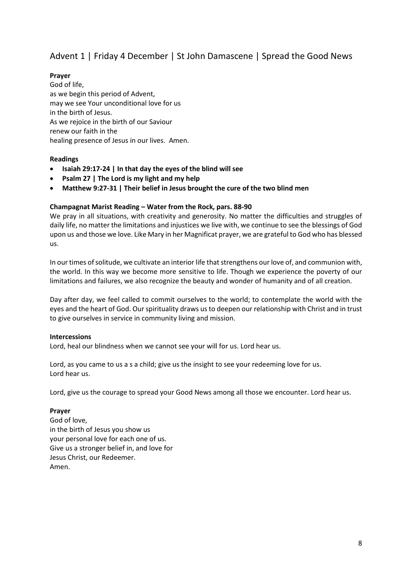## Advent 1 | Friday 4 December | St John Damascene | Spread the Good News

### **Prayer**

God of life, as we begin this period of Advent, may we see Your unconditional love for us in the birth of Jesus. As we rejoice in the birth of our Saviour renew our faith in the healing presence of Jesus in our lives. Amen.

### **Readings**

- **Isaiah 29:17-24 | In that day the eyes of the blind will see**
- **Psalm 27 | The Lord is my light and my help**
- **Matthew 9:27-31 | Their belief in Jesus brought the cure of the two blind men**

### **Champagnat Marist Reading – Water from the Rock, pars. 88-90**

We pray in all situations, with creativity and generosity. No matter the difficulties and struggles of daily life, no matter the limitations and injustices we live with, we continue to see the blessings of God upon us and those we love. Like Mary in her Magnificat prayer, we are grateful to God who has blessed us.

In our times of solitude, we cultivate an interior life that strengthens our love of, and communion with, the world. In this way we become more sensitive to life. Though we experience the poverty of our limitations and failures, we also recognize the beauty and wonder of humanity and of all creation.

Day after day, we feel called to commit ourselves to the world; to contemplate the world with the eyes and the heart of God. Our spirituality draws us to deepen our relationship with Christ and in trust to give ourselves in service in community living and mission.

### **Intercessions**

Lord, heal our blindness when we cannot see your will for us. Lord hear us.

Lord, as you came to us a s a child; give us the insight to see your redeeming love for us. Lord hear us.

Lord, give us the courage to spread your Good News among all those we encounter. Lord hear us.

### **Prayer**

God of love, in the birth of Jesus you show us your personal love for each one of us. Give us a stronger belief in, and love for Jesus Christ, our Redeemer. Amen.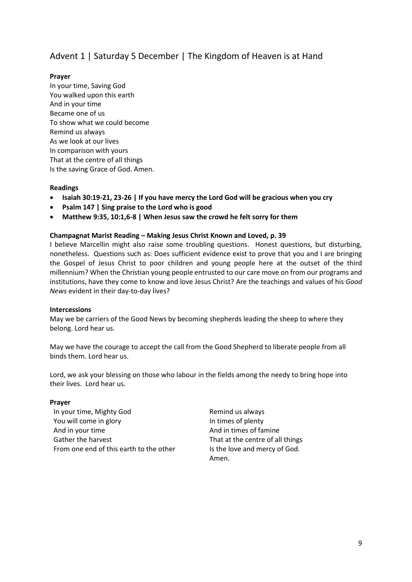### Advent 1 | Saturday 5 December | The Kingdom of Heaven is at Hand

### **Prayer**

In your time, Saving God You walked upon this earth And in your time Became one of us To show what we could become Remind us always As we look at our lives In comparison with yours That at the centre of all things Is the saving Grace of God. Amen.

### **Readings**

- **Isaiah 30:19-21, 23-26 | If you have mercy the Lord God will be gracious when you cry**
- **Psalm 147 | Sing praise to the Lord who is good**
- **Matthew 9:35, 10:1,6-8 | When Jesus saw the crowd he felt sorry for them**

### **Champagnat Marist Reading – Making Jesus Christ Known and Loved, p. 39**

I believe Marcellin might also raise some troubling questions. Honest questions, but disturbing, nonetheless. Questions such as: Does sufficient evidence exist to prove that you and I are bringing the Gospel of Jesus Christ to poor children and young people here at the outset of the third millennium? When the Christian young people entrusted to our care move on from our programs and institutions, have they come to know and love Jesus Christ? Are the teachings and values of his *Good News* evident in their day-to-day lives?

### **Intercessions**

May we be carriers of the Good News by becoming shepherds leading the sheep to where they belong. Lord hear us.

May we have the courage to accept the call from the Good Shepherd to liberate people from all binds them. Lord hear us.

Lord, we ask your blessing on those who labour in the fields among the needy to bring hope into their lives. Lord hear us.

### **Prayer**

In your time, Mighty God You will come in glory And in your time Gather the harvest From one end of this earth to the other Remind us always In times of plenty And in times of famine That at the centre of all things Is the love and mercy of God. Amen.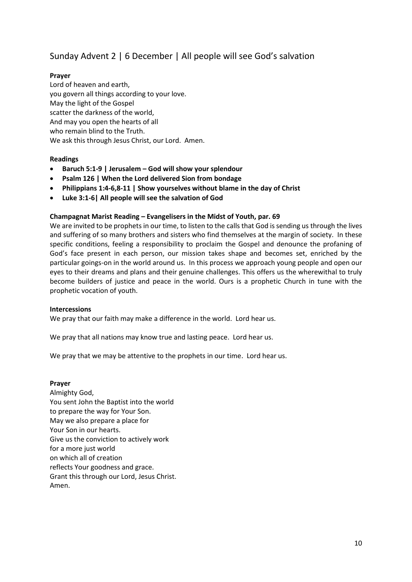### Sunday Advent 2 | 6 December | All people will see God's salvation

### **Prayer**

Lord of heaven and earth, you govern all things according to your love. May the light of the Gospel scatter the darkness of the world, And may you open the hearts of all who remain blind to the Truth. We ask this through Jesus Christ, our Lord. Amen.

### **Readings**

- **Baruch 5:1-9 | Jerusalem – God will show your splendour**
- **Psalm 126 | When the Lord delivered Sion from bondage**
- **Philippians 1:4-6,8-11 | Show yourselves without blame in the day of Christ**
- **Luke 3:1-6| All people will see the salvation of God**

### **Champagnat Marist Reading – Evangelisers in the Midst of Youth, par. 69**

We are invited to be prophets in our time, to listen to the calls that God is sending us through the lives and suffering of so many brothers and sisters who find themselves at the margin of society. In these specific conditions, feeling a responsibility to proclaim the Gospel and denounce the profaning of God's face present in each person, our mission takes shape and becomes set, enriched by the particular goings-on in the world around us. In this process we approach young people and open our eyes to their dreams and plans and their genuine challenges. This offers us the wherewithal to truly become builders of justice and peace in the world. Ours is a prophetic Church in tune with the prophetic vocation of youth.

### **Intercessions**

We pray that our faith may make a difference in the world. Lord hear us.

We pray that all nations may know true and lasting peace. Lord hear us.

We pray that we may be attentive to the prophets in our time. Lord hear us.

#### **Prayer**

Almighty God, You sent John the Baptist into the world to prepare the way for Your Son. May we also prepare a place for Your Son in our hearts. Give us the conviction to actively work for a more just world on which all of creation reflects Your goodness and grace. Grant this through our Lord, Jesus Christ. Amen.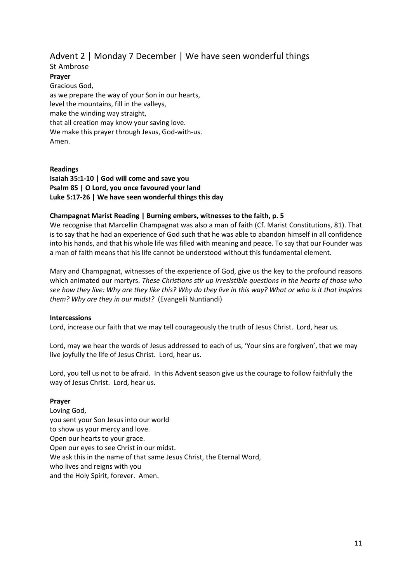### Advent 2 | Monday 7 December | We have seen wonderful things

St Ambrose **Prayer** Gracious God,

as we prepare the way of your Son in our hearts, level the mountains, fill in the valleys,

make the winding way straight,

that all creation may know your saving love.

We make this prayer through Jesus, God-with-us. Amen.

### **Readings**

**Isaiah 35:1-10 | God will come and save you Psalm 85 | O Lord, you once favoured your land Luke 5:17-26 | We have seen wonderful things this day**

### **Champagnat Marist Reading | Burning embers, witnesses to the faith, p. 5**

We recognise that Marcellin Champagnat was also a man of faith (Cf. Marist Constitutions, 81). That is to say that he had an experience of God such that he was able to abandon himself in all confidence into his hands, and that his whole life was filled with meaning and peace. To say that our Founder was a man of faith means that his life cannot be understood without this fundamental element.

Mary and Champagnat, witnesses of the experience of God, give us the key to the profound reasons which animated our martyrs. *These Christians stir up irresistible questions in the hearts of those who see how they live: Why are they like this? Why do they live in this way? What or who is it that inspires them? Why are they in our midst?* (Evangelii Nuntiandi)

### **Intercessions**

Lord, increase our faith that we may tell courageously the truth of Jesus Christ. Lord, hear us.

Lord, may we hear the words of Jesus addressed to each of us, 'Your sins are forgiven', that we may live joyfully the life of Jesus Christ. Lord, hear us.

Lord, you tell us not to be afraid. In this Advent season give us the courage to follow faithfully the way of Jesus Christ. Lord, hear us.

### **Prayer**

Loving God, you sent your Son Jesus into our world to show us your mercy and love. Open our hearts to your grace. Open our eyes to see Christ in our midst. We ask this in the name of that same Jesus Christ, the Eternal Word, who lives and reigns with you and the Holy Spirit, forever. Amen.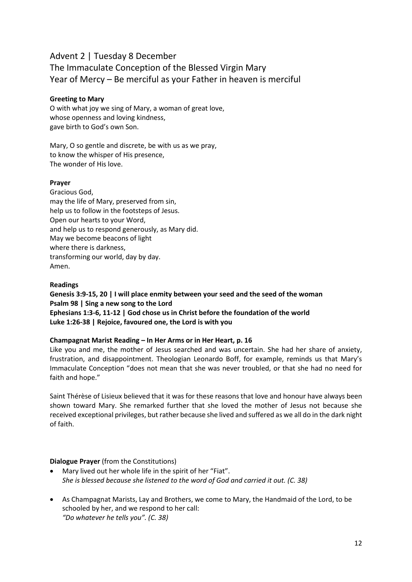### Advent 2 | Tuesday 8 December

The Immaculate Conception of the Blessed Virgin Mary Year of Mercy – Be merciful as your Father in heaven is merciful

### **Greeting to Mary**

O with what joy we sing of Mary, a woman of great love, whose openness and loving kindness, gave birth to God's own Son.

Mary, O so gentle and discrete, be with us as we pray, to know the whisper of His presence, The wonder of His love.

### **Prayer**

Gracious God, may the life of Mary, preserved from sin, help us to follow in the footsteps of Jesus. Open our hearts to your Word, and help us to respond generously, as Mary did. May we become beacons of light where there is darkness, transforming our world, day by day. Amen.

### **Readings**

**Genesis 3:9-15, 20 | I will place enmity between your seed and the seed of the woman Psalm 98 | Sing a new song to the Lord Ephesians 1:3-6, 11-12 | God chose us in Christ before the foundation of the world Luke 1:26-38 | Rejoice, favoured one, the Lord is with you**

### **Champagnat Marist Reading – In Her Arms or in Her Heart, p. 16**

Like you and me, the mother of Jesus searched and was uncertain. She had her share of anxiety, frustration, and disappointment. Theologian Leonardo Boff, for example, reminds us that Mary's Immaculate Conception "does not mean that she was never troubled, or that she had no need for faith and hope."

Saint Thérèse of Lisieux believed that it was for these reasons that love and honour have always been shown toward Mary. She remarked further that she loved the mother of Jesus not because she received exceptional privileges, but rather because she lived and suffered as we all do in the dark night of faith.

### **Dialogue Prayer** (from the Constitutions)

- Mary lived out her whole life in the spirit of her "Fiat". *She is blessed because she listened to the word of God and carried it out. (C. 38)*
- As Champagnat Marists, Lay and Brothers, we come to Mary, the Handmaid of the Lord, to be schooled by her, and we respond to her call: *"Do whatever he tells you". (C. 38)*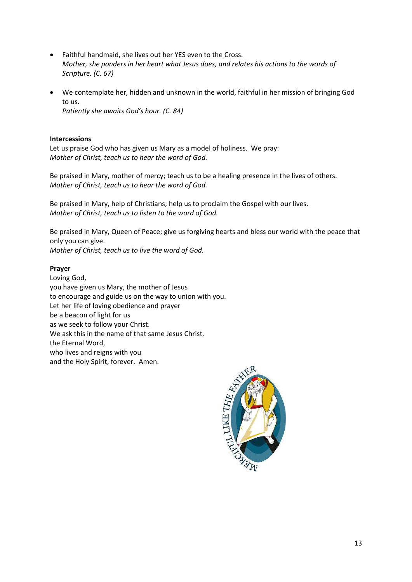- Faithful handmaid, she lives out her YES even to the Cross. *Mother, she ponders in her heart what Jesus does, and relates his actions to the words of Scripture. (C. 67)*
- We contemplate her, hidden and unknown in the world, faithful in her mission of bringing God to us. *Patiently she awaits God's hour. (C. 84)*

### **Intercessions**

Let us praise God who has given us Mary as a model of holiness. We pray: *Mother of Christ, teach us to hear the word of God.*

Be praised in Mary, mother of mercy; teach us to be a healing presence in the lives of others. *Mother of Christ, teach us to hear the word of God.*

Be praised in Mary, help of Christians; help us to proclaim the Gospel with our lives. *Mother of Christ, teach us to listen to the word of God.*

Be praised in Mary, Queen of Peace; give us forgiving hearts and bless our world with the peace that only you can give.

*Mother of Christ, teach us to live the word of God.*

### **Prayer**

Loving God, you have given us Mary, the mother of Jesus to encourage and guide us on the way to union with you. Let her life of loving obedience and prayer be a beacon of light for us as we seek to follow your Christ. We ask this in the name of that same Jesus Christ, the Eternal Word, who lives and reigns with you and the Holy Spirit, forever. Amen.

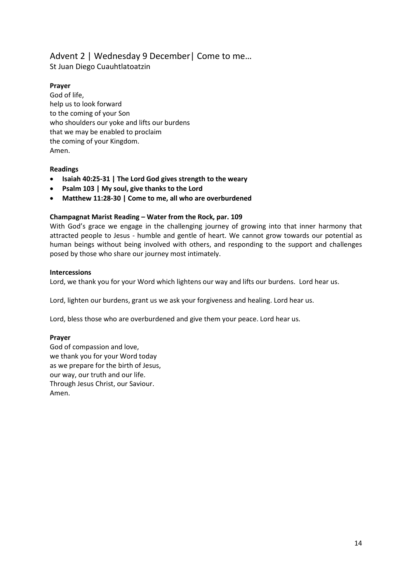# Advent 2 | Wednesday 9 December| Come to me…

St Juan Diego Cuauhtlatoatzin

### **Prayer**

God of life, help us to look forward to the coming of your Son who shoulders our yoke and lifts our burdens that we may be enabled to proclaim the coming of your Kingdom. Amen.

### **Readings**

- **Isaiah 40:25-31 | The Lord God gives strength to the weary**
- **Psalm 103 | My soul, give thanks to the Lord**
- **Matthew 11:28-30 | Come to me, all who are overburdened**

### **Champagnat Marist Reading – Water from the Rock, par. 109**

With God's grace we engage in the challenging journey of growing into that inner harmony that attracted people to Jesus - humble and gentle of heart. We cannot grow towards our potential as human beings without being involved with others, and responding to the support and challenges posed by those who share our journey most intimately.

### **Intercessions**

Lord, we thank you for your Word which lightens our way and lifts our burdens. Lord hear us.

Lord, lighten our burdens, grant us we ask your forgiveness and healing. Lord hear us.

Lord, bless those who are overburdened and give them your peace. Lord hear us.

### **Prayer**

God of compassion and love, we thank you for your Word today as we prepare for the birth of Jesus, our way, our truth and our life. Through Jesus Christ, our Saviour. Amen.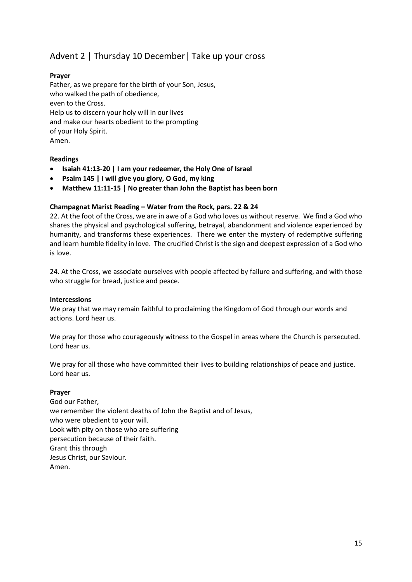# Advent 2 | Thursday 10 December| Take up your cross

### **Prayer**

Father, as we prepare for the birth of your Son, Jesus, who walked the path of obedience, even to the Cross. Help us to discern your holy will in our lives and make our hearts obedient to the prompting of your Holy Spirit. Amen.

### **Readings**

- **Isaiah 41:13-20 | I am your redeemer, the Holy One of Israel**
- **Psalm 145 | I will give you glory, O God, my king**
- **Matthew 11:11-15 | No greater than John the Baptist has been born**

### **Champagnat Marist Reading – Water from the Rock, pars. 22 & 24**

22. At the foot of the Cross, we are in awe of a God who loves us without reserve. We find a God who shares the physical and psychological suffering, betrayal, abandonment and violence experienced by humanity, and transforms these experiences. There we enter the mystery of redemptive suffering and learn humble fidelity in love. The crucified Christ is the sign and deepest expression of a God who is love.

24. At the Cross, we associate ourselves with people affected by failure and suffering, and with those who struggle for bread, justice and peace.

### **Intercessions**

We pray that we may remain faithful to proclaiming the Kingdom of God through our words and actions. Lord hear us.

We pray for those who courageously witness to the Gospel in areas where the Church is persecuted. Lord hear us.

We pray for all those who have committed their lives to building relationships of peace and justice. Lord hear us.

### **Prayer**

God our Father, we remember the violent deaths of John the Baptist and of Jesus, who were obedient to your will. Look with pity on those who are suffering persecution because of their faith. Grant this through Jesus Christ, our Saviour. Amen.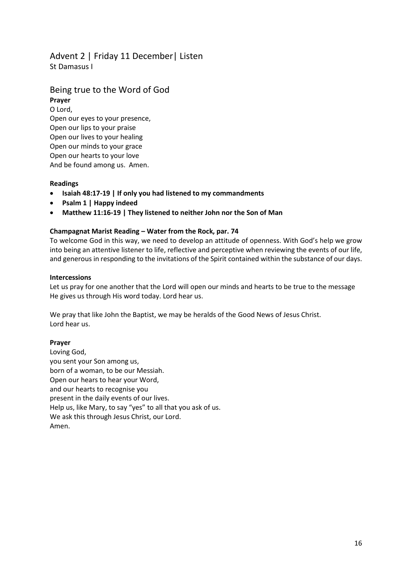### Advent 2 | Friday 11 December| Listen St Damasus I

### Being true to the Word of God **Prayer**

O Lord, Open our eyes to your presence, Open our lips to your praise Open our lives to your healing Open our minds to your grace Open our hearts to your love And be found among us. Amen.

### **Readings**

- **Isaiah 48:17-19 | If only you had listened to my commandments**
- **Psalm 1 | Happy indeed**
- **Matthew 11:16-19 | They listened to neither John nor the Son of Man**

### **Champagnat Marist Reading – Water from the Rock, par. 74**

To welcome God in this way, we need to develop an attitude of openness. With God's help we grow into being an attentive listener to life, reflective and perceptive when reviewing the events of our life, and generous in responding to the invitations of the Spirit contained within the substance of our days.

### **Intercessions**

Let us pray for one another that the Lord will open our minds and hearts to be true to the message He gives us through His word today. Lord hear us.

We pray that like John the Baptist, we may be heralds of the Good News of Jesus Christ. Lord hear us.

### **Prayer**

Loving God, you sent your Son among us, born of a woman, to be our Messiah. Open our hears to hear your Word, and our hearts to recognise you present in the daily events of our lives. Help us, like Mary, to say "yes" to all that you ask of us. We ask this through Jesus Christ, our Lord. Amen.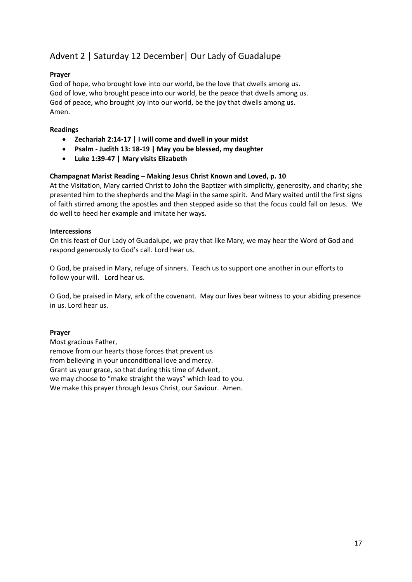# Advent 2 | Saturday 12 December| Our Lady of Guadalupe

### **Prayer**

God of hope, who brought love into our world, be the love that dwells among us. God of love, who brought peace into our world, be the peace that dwells among us. God of peace, who brought joy into our world, be the joy that dwells among us. Amen.

### **Readings**

- **Zechariah 2:14-17 | I will come and dwell in your midst**
- **Psalm - Judith 13: 18-19 | May you be blessed, my daughter**
- **Luke 1:39-47 | Mary visits Elizabeth**

### **Champagnat Marist Reading – Making Jesus Christ Known and Loved, p. 10**

At the Visitation, Mary carried Christ to John the Baptizer with simplicity, generosity, and charity; she presented him to the shepherds and the Magi in the same spirit. And Mary waited until the first signs of faith stirred among the apostles and then stepped aside so that the focus could fall on Jesus. We do well to heed her example and imitate her ways.

### **Intercessions**

On this feast of Our Lady of Guadalupe, we pray that like Mary, we may hear the Word of God and respond generously to God's call. Lord hear us.

O God, be praised in Mary, refuge of sinners. Teach us to support one another in our efforts to follow your will. Lord hear us.

O God, be praised in Mary, ark of the covenant. May our lives bear witness to your abiding presence in us. Lord hear us.

### **Prayer**

Most gracious Father, remove from our hearts those forces that prevent us from believing in your unconditional love and mercy. Grant us your grace, so that during this time of Advent, we may choose to "make straight the ways" which lead to you. We make this prayer through Jesus Christ, our Saviour. Amen.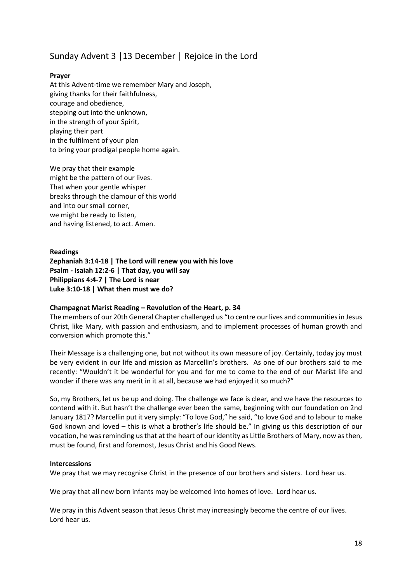### Sunday Advent 3 |13 December | Rejoice in the Lord

### **Prayer**

At this Advent-time we remember Mary and Joseph, giving thanks for their faithfulness, courage and obedience, stepping out into the unknown, in the strength of your Spirit, playing their part in the fulfilment of your plan to bring your prodigal people home again.

We pray that their example might be the pattern of our lives. That when your gentle whisper breaks through the clamour of this world and into our small corner, we might be ready to listen, and having listened, to act. Amen.

### **Readings**

**Zephaniah 3:14-18 | The Lord will renew you with his love Psalm - Isaiah 12:2-6 | That day, you will say Philippians 4:4-7 | The Lord is near Luke 3:10-18 | What then must we do?**

### **Champagnat Marist Reading – Revolution of the Heart, p. 34**

The members of our 20th General Chapter challenged us "to centre our lives and communities in Jesus Christ, like Mary, with passion and enthusiasm, and to implement processes of human growth and conversion which promote this."

Their Message is a challenging one, but not without its own measure of joy. Certainly, today joy must be very evident in our life and mission as Marcellin's brothers. As one of our brothers said to me recently: "Wouldn't it be wonderful for you and for me to come to the end of our Marist life and wonder if there was any merit in it at all, because we had enjoyed it so much?"

So, my Brothers, let us be up and doing. The challenge we face is clear, and we have the resources to contend with it. But hasn't the challenge ever been the same, beginning with our foundation on 2nd January 1817? Marcellin put it very simply: "To love God," he said, "to love God and to labour to make God known and loved – this is what a brother's life should be." In giving us this description of our vocation, he was reminding us that at the heart of our identity as Little Brothers of Mary, now as then, must be found, first and foremost, Jesus Christ and his Good News.

### **Intercessions**

We pray that we may recognise Christ in the presence of our brothers and sisters. Lord hear us.

We pray that all new born infants may be welcomed into homes of love. Lord hear us.

We pray in this Advent season that Jesus Christ may increasingly become the centre of our lives. Lord hear us.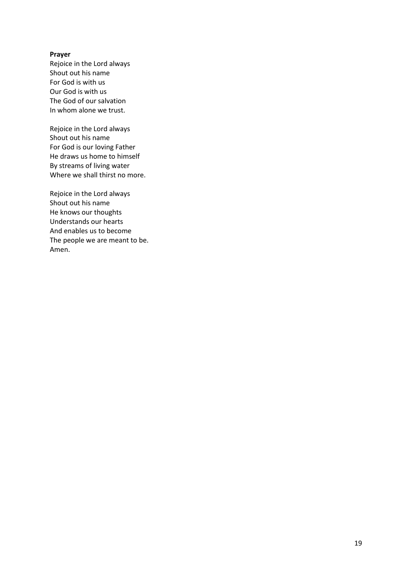### **Prayer**

Rejoice in the Lord always Shout out his name For God is with us Our God is with us The God of our salvation In whom alone we trust.

Rejoice in the Lord always Shout out his name For God is our loving Father He draws us home to himself By streams of living water Where we shall thirst no more.

Rejoice in the Lord always Shout out his name He knows our thoughts Understands our hearts And enables us to become The people we are meant to be. Amen.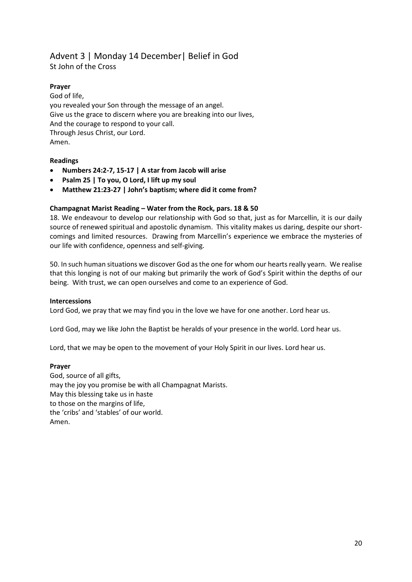# Advent 3 | Monday 14 December| Belief in God

St John of the Cross

### **Prayer**

God of life, you revealed your Son through the message of an angel. Give us the grace to discern where you are breaking into our lives, And the courage to respond to your call. Through Jesus Christ, our Lord. Amen.

### **Readings**

- **Numbers 24:2-7, 15-17 | A star from Jacob will arise**
- **Psalm 25 | To you, O Lord, I lift up my soul**
- **Matthew 21:23-27 | John's baptism; where did it come from?**

### **Champagnat Marist Reading – Water from the Rock, pars. 18 & 50**

18. We endeavour to develop our relationship with God so that, just as for Marcellin, it is our daily source of renewed spiritual and apostolic dynamism. This vitality makes us daring, despite our shortcomings and limited resources. Drawing from Marcellin's experience we embrace the mysteries of our life with confidence, openness and self-giving.

50. In such human situations we discover God as the one for whom our hearts really yearn. We realise that this longing is not of our making but primarily the work of God's Spirit within the depths of our being. With trust, we can open ourselves and come to an experience of God.

### **Intercessions**

Lord God, we pray that we may find you in the love we have for one another. Lord hear us.

Lord God, may we like John the Baptist be heralds of your presence in the world. Lord hear us.

Lord, that we may be open to the movement of your Holy Spirit in our lives. Lord hear us.

### **Prayer**

God, source of all gifts, may the joy you promise be with all Champagnat Marists. May this blessing take us in haste to those on the margins of life, the 'cribs' and 'stables' of our world. Amen.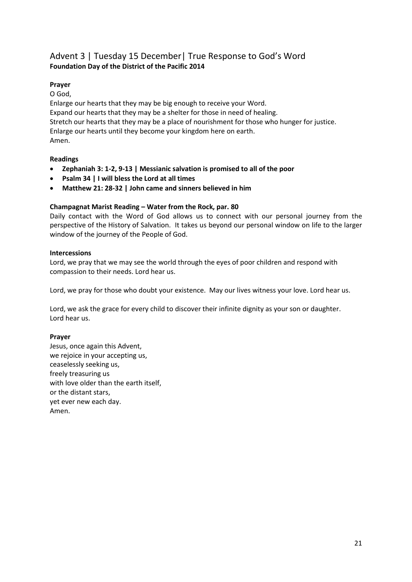### Advent 3 | Tuesday 15 December| True Response to God's Word **Foundation Day of the District of the Pacific 2014**

### **Prayer**

### O God,

Enlarge our hearts that they may be big enough to receive your Word. Expand our hearts that they may be a shelter for those in need of healing. Stretch our hearts that they may be a place of nourishment for those who hunger for justice. Enlarge our hearts until they become your kingdom here on earth. Amen.

### **Readings**

- **Zephaniah 3: 1-2, 9-13 | Messianic salvation is promised to all of the poor**
- **Psalm 34 | I will bless the Lord at all times**
- **Matthew 21: 28-32 | John came and sinners believed in him**

### **Champagnat Marist Reading – Water from the Rock, par. 80**

Daily contact with the Word of God allows us to connect with our personal journey from the perspective of the History of Salvation. It takes us beyond our personal window on life to the larger window of the journey of the People of God.

### **Intercessions**

Lord, we pray that we may see the world through the eyes of poor children and respond with compassion to their needs. Lord hear us.

Lord, we pray for those who doubt your existence. May our lives witness your love. Lord hear us.

Lord, we ask the grace for every child to discover their infinite dignity as your son or daughter. Lord hear us.

### **Prayer**

Jesus, once again this Advent, we rejoice in your accepting us, ceaselessly seeking us, freely treasuring us with love older than the earth itself, or the distant stars, yet ever new each day. Amen.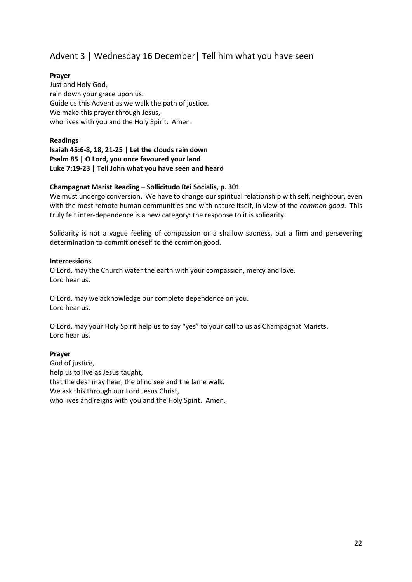### Advent 3 | Wednesday 16 December| Tell him what you have seen

### **Prayer**

Just and Holy God, rain down your grace upon us. Guide us this Advent as we walk the path of justice. We make this prayer through Jesus, who lives with you and the Holy Spirit. Amen.

### **Readings**

**Isaiah 45:6-8, 18, 21-25 | Let the clouds rain down Psalm 85 | O Lord, you once favoured your land Luke 7:19-23 | Tell John what you have seen and heard** 

### **Champagnat Marist Reading – Sollicitudo Rei Socialis, p. 301**

We must undergo conversion. We have to change our spiritual relationship with self, neighbour, even with the most remote human communities and with nature itself, in view of the *common good*. This truly felt inter-dependence is a new category: the response to it is solidarity.

Solidarity is not a vague feeling of compassion or a shallow sadness, but a firm and persevering determination to commit oneself to the common good.

### **Intercessions**

O Lord, may the Church water the earth with your compassion, mercy and love. Lord hear us.

O Lord, may we acknowledge our complete dependence on you. Lord hear us.

O Lord, may your Holy Spirit help us to say "yes" to your call to us as Champagnat Marists. Lord hear us.

### **Prayer**

God of justice, help us to live as Jesus taught, that the deaf may hear, the blind see and the lame walk. We ask this through our Lord Jesus Christ, who lives and reigns with you and the Holy Spirit. Amen.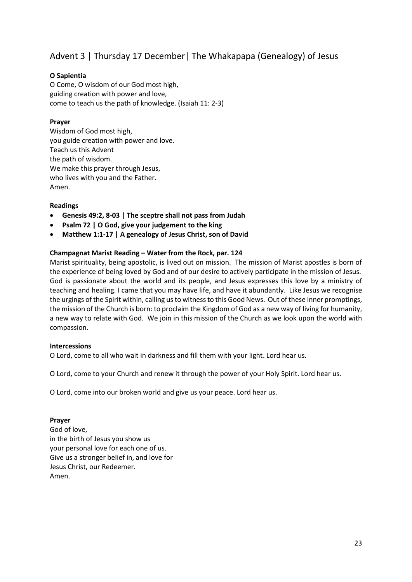### Advent 3 | Thursday 17 December| The Whakapapa (Genealogy) of Jesus

### **O Sapientia**

O Come, O wisdom of our God most high, guiding creation with power and love, come to teach us the path of knowledge. (Isaiah 11: 2-3)

### **Prayer**

Wisdom of God most high, you guide creation with power and love. Teach us this Advent the path of wisdom. We make this prayer through Jesus, who lives with you and the Father. Amen.

### **Readings**

- **Genesis 49:2, 8-03 | The sceptre shall not pass from Judah**
- **Psalm 72 | O God, give your judgement to the king**
- **Matthew 1:1-17 | A genealogy of Jesus Christ, son of David**

### **Champagnat Marist Reading – Water from the Rock, par. 124**

Marist spirituality, being apostolic, is lived out on mission. The mission of Marist apostles is born of the experience of being loved by God and of our desire to actively participate in the mission of Jesus. God is passionate about the world and its people, and Jesus expresses this love by a ministry of teaching and healing. I came that you may have life, and have it abundantly. Like Jesus we recognise the urgings of the Spirit within, calling us to witness to this Good News. Out of these inner promptings, the mission of the Church is born: to proclaim the Kingdom of God as a new way of living for humanity, a new way to relate with God. We join in this mission of the Church as we look upon the world with compassion.

### **Intercessions**

O Lord, come to all who wait in darkness and fill them with your light. Lord hear us.

O Lord, come to your Church and renew it through the power of your Holy Spirit. Lord hear us.

O Lord, come into our broken world and give us your peace. Lord hear us.

### **Prayer**

God of love, in the birth of Jesus you show us your personal love for each one of us. Give us a stronger belief in, and love for Jesus Christ, our Redeemer. Amen.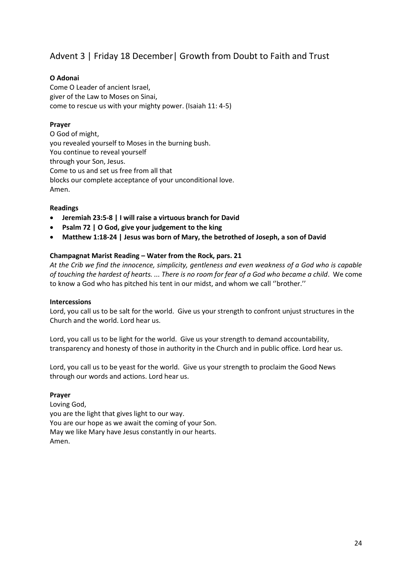### Advent 3 | Friday 18 December| Growth from Doubt to Faith and Trust

### **O Adonai**

Come O Leader of ancient Israel, giver of the Law to Moses on Sinai, come to rescue us with your mighty power. (Isaiah 11: 4-5)

### **Prayer**

O God of might, you revealed yourself to Moses in the burning bush. You continue to reveal yourself through your Son, Jesus. Come to us and set us free from all that blocks our complete acceptance of your unconditional love. Amen.

#### **Readings**

- **Jeremiah 23:5-8 | I will raise a virtuous branch for David**
- **Psalm 72 | O God, give your judgement to the king**
- **Matthew 1:18-24 | Jesus was born of Mary, the betrothed of Joseph, a son of David**

#### **Champagnat Marist Reading – Water from the Rock, pars. 21**

*At the Crib we find the innocence, simplicity, gentleness and even weakness of a God who is capable of touching the hardest of hearts. ... There is no room for fear of a God who became a child*. We come to know a God who has pitched his tent in our midst, and whom we call ''brother.''

#### **Intercessions**

Lord, you call us to be salt for the world. Give us your strength to confront unjust structures in the Church and the world. Lord hear us.

Lord, you call us to be light for the world. Give us your strength to demand accountability, transparency and honesty of those in authority in the Church and in public office. Lord hear us.

Lord, you call us to be yeast for the world. Give us your strength to proclaim the Good News through our words and actions. Lord hear us.

#### **Prayer**

Loving God, you are the light that gives light to our way. You are our hope as we await the coming of your Son. May we like Mary have Jesus constantly in our hearts. Amen.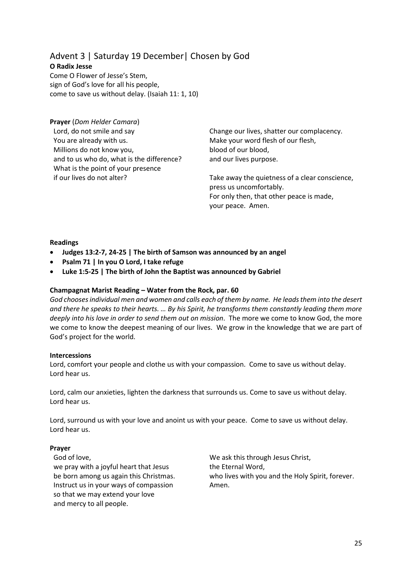### Advent 3 | Saturday 19 December| Chosen by God **O Radix Jesse** Come O Flower of Jesse's Stem,

sign of God's love for all his people, come to save us without delay. (Isaiah 11: 1, 10)

**Prayer** (*Dom Helder Camara*) Lord, do not smile and say You are already with us. Millions do not know you, and to us who do, what is the difference? What is the point of your presence if our lives do not alter?

Change our lives, shatter our complacency. Make your word flesh of our flesh, blood of our blood, and our lives purpose.

Take away the quietness of a clear conscience, press us uncomfortably. For only then, that other peace is made, your peace. Amen.

### **Readings**

- **Judges 13:2-7, 24-25 | The birth of Samson was announced by an angel**
- **Psalm 71 | In you O Lord, I take refuge**
- **Luke 1:5-25 | The birth of John the Baptist was announced by Gabriel**

### **Champagnat Marist Reading – Water from the Rock, par. 60**

*God chooses individual men and women and calls each of them by name. He leads them into the desert and there he speaks to their hearts. … By his Spirit, he transforms them constantly leading them more deeply into his love in order to send them out on mission*. The more we come to know God, the more we come to know the deepest meaning of our lives. We grow in the knowledge that we are part of God's project for the world.

### **Intercessions**

Lord, comfort your people and clothe us with your compassion. Come to save us without delay. Lord hear us.

Lord, calm our anxieties, lighten the darkness that surrounds us. Come to save us without delay. Lord hear us.

Lord, surround us with your love and anoint us with your peace. Come to save us without delay. Lord hear us.

### **Prayer**

God of love, we pray with a joyful heart that Jesus be born among us again this Christmas. Instruct us in your ways of compassion so that we may extend your love and mercy to all people.

We ask this through Jesus Christ, the Eternal Word, who lives with you and the Holy Spirit, forever. Amen.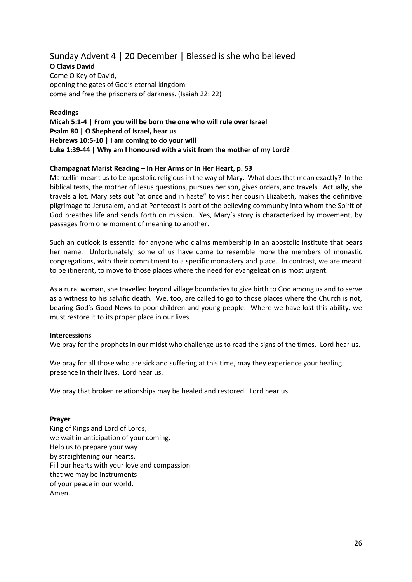Sunday Advent 4 | 20 December | Blessed is she who believed

### **O Clavis David**

Come O Key of David, opening the gates of God's eternal kingdom come and free the prisoners of darkness. (Isaiah 22: 22)

### **Readings**

**Micah 5:1-4 | From you will be born the one who will rule over Israel Psalm 80 | O Shepherd of Israel, hear us Hebrews 10:5-10 | I am coming to do your will Luke 1:39-44 | Why am I honoured with a visit from the mother of my Lord?**

### **Champagnat Marist Reading – In Her Arms or In Her Heart, p. 53**

Marcellin meant us to be apostolic religious in the way of Mary. What does that mean exactly? In the biblical texts, the mother of Jesus questions, pursues her son, gives orders, and travels. Actually, she travels a lot. Mary sets out "at once and in haste" to visit her cousin Elizabeth, makes the definitive pilgrimage to Jerusalem, and at Pentecost is part of the believing community into whom the Spirit of God breathes life and sends forth on mission. Yes, Mary's story is characterized by movement, by passages from one moment of meaning to another.

Such an outlook is essential for anyone who claims membership in an apostolic Institute that bears her name. Unfortunately, some of us have come to resemble more the members of monastic congregations, with their commitment to a specific monastery and place. In contrast, we are meant to be itinerant, to move to those places where the need for evangelization is most urgent.

As a rural woman, she travelled beyond village boundaries to give birth to God among us and to serve as a witness to his salvific death. We, too, are called to go to those places where the Church is not, bearing God's Good News to poor children and young people. Where we have lost this ability, we must restore it to its proper place in our lives.

### **Intercessions**

We pray for the prophets in our midst who challenge us to read the signs of the times. Lord hear us.

We pray for all those who are sick and suffering at this time, may they experience your healing presence in their lives. Lord hear us.

We pray that broken relationships may be healed and restored. Lord hear us.

### **Prayer**

King of Kings and Lord of Lords, we wait in anticipation of your coming. Help us to prepare your way by straightening our hearts. Fill our hearts with your love and compassion that we may be instruments of your peace in our world. Amen.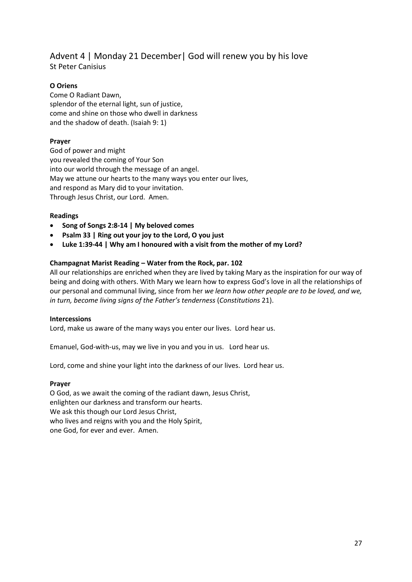### Advent 4 | Monday 21 December| God will renew you by his love St Peter Canisius

### **O Oriens**

Come O Radiant Dawn, splendor of the eternal light, sun of justice, come and shine on those who dwell in darkness and the shadow of death. (Isaiah 9: 1)

### **Prayer**

God of power and might you revealed the coming of Your Son into our world through the message of an angel. May we attune our hearts to the many ways you enter our lives, and respond as Mary did to your invitation. Through Jesus Christ, our Lord. Amen.

### **Readings**

- **Song of Songs 2:8-14 | My beloved comes**
- **Psalm 33 | Ring out your joy to the Lord, O you just**
- **Luke 1:39-44 | Why am I honoured with a visit from the mother of my Lord?**

### **Champagnat Marist Reading – Water from the Rock, par. 102**

All our relationships are enriched when they are lived by taking Mary as the inspiration for our way of being and doing with others. With Mary we learn how to express God's love in all the relationships of our personal and communal living, since from her *we learn how other people are to be loved, and we, in turn, become living signs of the Father's tenderness* (*Constitutions* 21).

### **Intercessions**

Lord, make us aware of the many ways you enter our lives. Lord hear us.

Emanuel, God-with-us, may we live in you and you in us. Lord hear us.

Lord, come and shine your light into the darkness of our lives. Lord hear us.

### **Prayer**

O God, as we await the coming of the radiant dawn, Jesus Christ, enlighten our darkness and transform our hearts. We ask this though our Lord Jesus Christ, who lives and reigns with you and the Holy Spirit, one God, for ever and ever. Amen.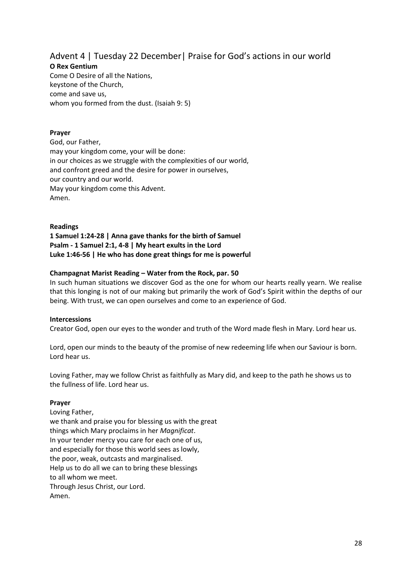# Advent 4 | Tuesday 22 December| Praise for God's actions in our world

### **O Rex Gentium**

Come O Desire of all the Nations, keystone of the Church, come and save us, whom you formed from the dust. (Isaiah 9: 5)

### **Prayer**

God, our Father, may your kingdom come, your will be done: in our choices as we struggle with the complexities of our world, and confront greed and the desire for power in ourselves, our country and our world. May your kingdom come this Advent. Amen.

**Readings**

**1 Samuel 1:24-28 | Anna gave thanks for the birth of Samuel Psalm - 1 Samuel 2:1, 4-8 | My heart exults in the Lord Luke 1:46-56 | He who has done great things for me is powerful**

### **Champagnat Marist Reading – Water from the Rock, par. 50**

In such human situations we discover God as the one for whom our hearts really yearn. We realise that this longing is not of our making but primarily the work of God's Spirit within the depths of our being. With trust, we can open ourselves and come to an experience of God.

### **Intercessions**

Creator God, open our eyes to the wonder and truth of the Word made flesh in Mary. Lord hear us.

Lord, open our minds to the beauty of the promise of new redeeming life when our Saviour is born. Lord hear us.

Loving Father, may we follow Christ as faithfully as Mary did, and keep to the path he shows us to the fullness of life. Lord hear us.

### **Prayer**

Loving Father, we thank and praise you for blessing us with the great things which Mary proclaims in her *Magnificat*. In your tender mercy you care for each one of us, and especially for those this world sees as lowly, the poor, weak, outcasts and marginalised. Help us to do all we can to bring these blessings to all whom we meet. Through Jesus Christ, our Lord. Amen.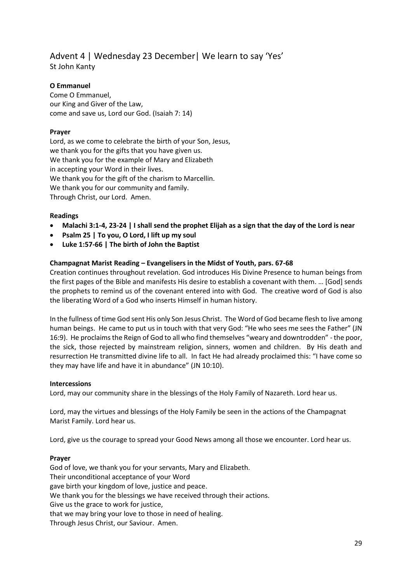### Advent 4 | Wednesday 23 December| We learn to say 'Yes' St John Kanty

### **O Emmanuel**

Come O Emmanuel, our King and Giver of the Law, come and save us, Lord our God. (Isaiah 7: 14)

### **Prayer**

Lord, as we come to celebrate the birth of your Son, Jesus, we thank you for the gifts that you have given us. We thank you for the example of Mary and Elizabeth in accepting your Word in their lives. We thank you for the gift of the charism to Marcellin. We thank you for our community and family. Through Christ, our Lord. Amen.

### **Readings**

- **Malachi 3:1-4, 23-24 | I shall send the prophet Elijah as a sign that the day of the Lord is near**
- **Psalm 25 | To you, O Lord, I lift up my soul**
- **Luke 1:57-66 | The birth of John the Baptist**

### **Champagnat Marist Reading – Evangelisers in the Midst of Youth, pars. 67-68**

Creation continues throughout revelation. God introduces His Divine Presence to human beings from the first pages of the Bible and manifests His desire to establish a covenant with them. … [God] sends the prophets to remind us of the covenant entered into with God. The creative word of God is also the liberating Word of a God who inserts Himself in human history.

In the fullness of time God sent His only Son Jesus Christ. The Word of God became flesh to live among human beings. He came to put us in touch with that very God: "He who sees me sees the Father" (JN 16:9). He proclaims the Reign of God to all who find themselves "weary and downtrodden" - the poor, the sick, those rejected by mainstream religion, sinners, women and children. By His death and resurrection He transmitted divine life to all. In fact He had already proclaimed this: "I have come so they may have life and have it in abundance" (JN 10:10).

#### **Intercessions**

Lord, may our community share in the blessings of the Holy Family of Nazareth. Lord hear us.

Lord, may the virtues and blessings of the Holy Family be seen in the actions of the Champagnat Marist Family. Lord hear us.

Lord, give us the courage to spread your Good News among all those we encounter. Lord hear us.

#### **Prayer**

God of love, we thank you for your servants, Mary and Elizabeth. Their unconditional acceptance of your Word gave birth your kingdom of love, justice and peace. We thank you for the blessings we have received through their actions. Give us the grace to work for justice, that we may bring your love to those in need of healing. Through Jesus Christ, our Saviour. Amen.